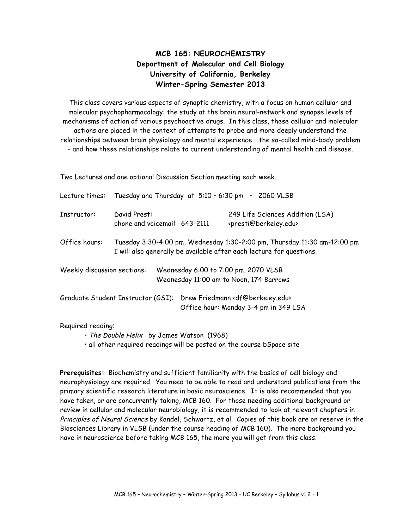## **MCB 165: NEUROCHEMISTRY Department of Molecular and Cell Biology University of California, Berkeley Winter-Spring Semester 2013**

This class covers various aspects of synaptic chemistry, with a focus on human cellular and molecular psychopharmacology: the study at the brain neural-network and synapse levels of mechanisms of action of various psychoactive drugs. In this class, these cellular and molecular actions are placed in the context of attempts to probe and more deeply understand the relationships between brain physiology and mental experience – the so-called mind-body problem – and how these relationships relate to current understanding of mental health and disease.

Two Lectures and one optional Discussion Section meeting each week.

| Lecture times:              | Tuesday and Thursday at $5:10 - 6:30$ pm $-2060$ VLSB                                                                                            |  |                                                                                 |                                                                                                               |  |
|-----------------------------|--------------------------------------------------------------------------------------------------------------------------------------------------|--|---------------------------------------------------------------------------------|---------------------------------------------------------------------------------------------------------------|--|
| Instructor:                 | David Presti<br>phone and voicemail: 643-2111                                                                                                    |  |                                                                                 | 249 Life Sciences Addition (LSA)<br><presti@berkeley.edu></presti@berkeley.edu>                               |  |
| Office hours:               | Tuesday 3:30-4:00 pm, Wednesday 1:30-2:00 pm, Thursday 11:30 am-12:00 pm<br>I will also generally be available after each lecture for questions. |  |                                                                                 |                                                                                                               |  |
| Weekly discussion sections: |                                                                                                                                                  |  | Wednesday 6:00 to 7:00 pm, 2070 VLSB<br>Wednesday 11:00 am to Noon, 174 Barrows |                                                                                                               |  |
|                             |                                                                                                                                                  |  |                                                                                 | Graduate Student Instructor (GSI): Drew Friedmann < df@berkeley.edu><br>Office hour: Monday 3-4 pm in 349 LSA |  |

Required reading:

• The Double Helix by James Watson (1968)

• all other required readings will be posted on the course bSpace site

**Prerequisites:** Biochemistry and sufficient familiarity with the basics of cell biology and neurophysiology are required. You need to be able to read and understand publications from the primary scientific research literature in basic neuroscience. It is also recommended that you have taken, or are concurrently taking, MCB 160. For those needing additional background or review in cellular and molecular neurobiology, it is recommended to look at relevant chapters in Principles of Neural Science by Kandel, Schwartz, et al. Copies of this book are on reserve in the Biosciences Library in VLSB (under the course heading of MCB 160). The more background you have in neuroscience before taking MCB 165, the more you will get from this class.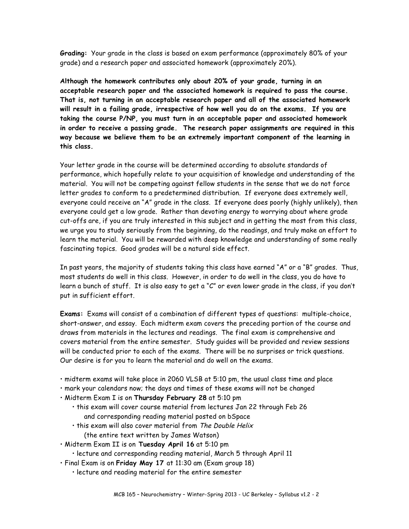**Grading:** Your grade in the class is based on exam performance (approximately 80% of your grade) and a research paper and associated homework (approximately 20%).

**Although the homework contributes only about 20% of your grade, turning in an acceptable research paper and the associated homework is required to pass the course. That is, not turning in an acceptable research paper and all of the associated homework will result in a failing grade, irrespective of how well you do on the exams. If you are taking the course P/NP, you must turn in an acceptable paper and associated homework in order to receive a passing grade. The research paper assignments are required in this way because we believe them to be an extremely important component of the learning in this class.**

Your letter grade in the course will be determined according to absolute standards of performance, which hopefully relate to your acquisition of knowledge and understanding of the material. You will not be competing against fellow students in the sense that we do not force letter grades to conform to a predetermined distribution. If everyone does extremely well, everyone could receive an "A" grade in the class. If everyone does poorly (highly unlikely), then everyone could get a low grade. Rather than devoting energy to worrying about where grade cut-offs are, if you are truly interested in this subject and in getting the most from this class, we urge you to study seriously from the beginning, do the readings, and truly make an effort to learn the material. You will be rewarded with deep knowledge and understanding of some really fascinating topics. Good grades will be a natural side effect.

In past years, the majority of students taking this class have earned "A" or a "B" grades. Thus, most students do well in this class. However, in order to do well in the class, you do have to learn a bunch of stuff. It is also easy to get a "C" or even lower grade in the class, if you don't put in sufficient effort.

**Exams:** Exams will consist of a combination of different types of questions: multiple-choice, short-answer, and essay. Each midterm exam covers the preceding portion of the course and draws from materials in the lectures and readings. The final exam is comprehensive and covers material from the entire semester. Study guides will be provided and review sessions will be conducted prior to each of the exams. There will be no surprises or trick questions. Our desire is for you to learn the material and do well on the exams.

- midterm exams will take place in 2060 VLSB at 5:10 pm, the usual class time and place
- mark your calendars now; the days and times of these exams will not be changed
- Midterm Exam I is on **Thursday February 28** at 5:10 pm
	- this exam will cover course material from lectures Jan 22 through Feb 26 and corresponding reading material posted on bSpace
	- this exam will also cover material from The Double Helix (the entire text written by James Watson)
- Midterm Exam II is on **Tuesday April 16** at 5:10 pm
	- lecture and corresponding reading material, March 5 through April 11
- Final Exam is on **Friday May 17** at 11:30 am (Exam group 18)
	- lecture and reading material for the entire semester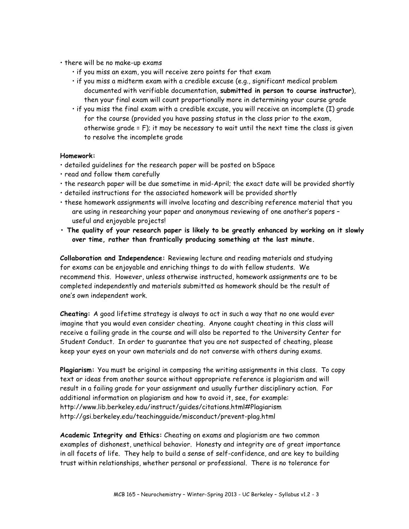- there will be no make-up exams
	- if you miss an exam, you will receive zero points for that exam
	- if you miss a midterm exam with a credible excuse (e.g., significant medical problem documented with verifiable documentation, **submitted in person to course instructor**), then your final exam will count proportionally more in determining your course grade
	- if you miss the final exam with a credible excuse, you will receive an incomplete (I) grade for the course (provided you have passing status in the class prior to the exam, otherwise grade = F); it may be necessary to wait until the next time the class is given to resolve the incomplete grade

## **Homework:**

- detailed guidelines for the research paper will be posted on bSpace
- read and follow them carefully
- the research paper will be due sometime in mid-April; the exact date will be provided shortly
- detailed instructions for the associated homework will be provided shortly
- these homework assignments will involve locating and describing reference material that you are using in researching your paper and anonymous reviewing of one another's papers – useful and enjoyable projects!
- **The quality of your research paper is likely to be greatly enhanced by working on it slowly over time, rather than frantically producing something at the last minute.**

**Collaboration and Independence:** Reviewing lecture and reading materials and studying for exams can be enjoyable and enriching things to do with fellow students. We recommend this. However, unless otherwise instructed, homework assignments are to be completed independently and materials submitted as homework should be the result of one's own independent work.

**Cheating:** A good lifetime strategy is always to act in such a way that no one would ever imagine that you would even consider cheating. Anyone caught cheating in this class will receive a failing grade in the course and will also be reported to the University Center for Student Conduct. In order to guarantee that you are not suspected of cheating, please keep your eyes on your own materials and do not converse with others during exams.

**Plagiarism:** You must be original in composing the writing assignments in this class. To copy text or ideas from another source without appropriate reference is plagiarism and will result in a failing grade for your assignment and usually further disciplinary action. For additional information on plagiarism and how to avoid it, see, for example: http://www.lib.berkeley.edu/instruct/guides/citations.html#Plagiarism http://gsi.berkeley.edu/teachingguide/misconduct/prevent-plag.html

**Academic Integrity and Ethics:** Cheating on exams and plagiarism are two common examples of dishonest, unethical behavior. Honesty and integrity are of great importance in all facets of life. They help to build a sense of self-confidence, and are key to building trust within relationships, whether personal or professional. There is no tolerance for